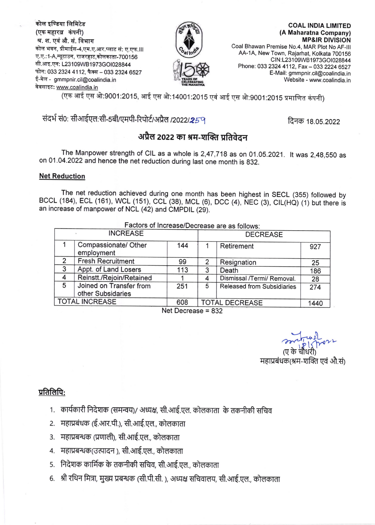कोल इण्डिया लिमिटेड (एक महारत्न कंपनी) श्र. श. एवं औ. सं. विभाग कोल भवन, प्रीमाईस-4,एम.ए.आर.प्लाट सं: ए.एफ.III ए.ए.:1-A,न्यूटाउन, राजरहाट,कोलकाता-700156 सी.आइ.एन: L23109WB1973GOI028844 फोन: 033 2324 4112, फैक्स - 033 2324 6527 ई-मेल - gmmpnir.cil@coalindia.in वेबसाइट: www.coalindia.in



(A Maharatna Company) **MP&IR DIVISION** Coal Bhawan Premise No.4, MAR Plot No AF-III AA-1A, New Town, Rajarhat, Kolkata 700156 CIN:L23109WB1973GOI028844 Phone: 033 2324 4112, Fax - 033 2224 6527 E-Mail: gmmpnir.cil@coalindia.in Website - www.coalindia.in

(एक आई एस ओ:9001:2015, आई एस ओ:14001:2015 एवं आई एस ओ:9001:2015 प्रमाणित कंपनी)

## संदर्भ सं0: सीआईएल:सी-5बी/एमपी-रिपोर्ट/अप्रैल /2022/259

दिनक 18.05.2022

**COAL INDIA LIMITED** 

### अप्रैल 2022 का श्रम-शक्ति प्रतिवेदन

The Manpower strength of CIL as a whole is 2,47,718 as on 01.05.2021. It was 2,48,550 as on 01.04.2022 and hence the net reduction during last one month is 832.

#### **Net Reduction**

The net reduction achieved during one month has been highest in SECL (355) followed by BCCL (184), ECL (161), WCL (151), CCL (38), MCL (6), DCC (4), NEC (3), CIL(HQ) (1) but there is an increase of manpower of NCL (42) and CMPDIL (29).

| Factors of Increase/Decrease are as follows: |                                    |     |                       |                            |      |  |  |  |
|----------------------------------------------|------------------------------------|-----|-----------------------|----------------------------|------|--|--|--|
| <b>INCREASE</b>                              |                                    |     | <b>DECREASE</b>       |                            |      |  |  |  |
|                                              | Compassionate/ Other<br>employment | 144 |                       | Retirement                 | 927  |  |  |  |
| $\mathcal{P}$                                | <b>Fresh Recruitment</b>           | 99  | 2                     | Resignation                | 25   |  |  |  |
| 3                                            | Appt. of Land Losers               | 113 | 3                     | Death                      | 186  |  |  |  |
| 4                                            | Reinstt./Rejoin/Retained           |     |                       | Dismissal /Termi/ Removal. | 28   |  |  |  |
| 5                                            | Joined on Transfer from            | 251 | 5                     | Released from Subsidiaries | 274  |  |  |  |
|                                              | other Subsidaries                  |     |                       |                            |      |  |  |  |
| <b>TOTAL INCREASE</b>                        |                                    | 608 | <b>TOTAL DECREASE</b> |                            | 1440 |  |  |  |

Net Decrease = 832

महाप्रबंधक(श्रम-शक्ति एवं औ़सं)

#### प्रतिलिपि:

- 1. ) कार्यकारी निदेशक (समन्वय)/ अध्यक्ष, सी.आई.एल. कोलकाता के तकनीकी सचिव
- 2. महाप्रबंधक (ई.आर.पी.), सी.आई.एल., कोलकाता
- 3. महाप्रबन्धक (प्रणाली), सी.आई.एल., कोलकाता
- 4. महाप्रबन्धक(उत्पादन), सी.आई.एल., कोलकाता
- 5. निदेशक कार्मिक के तकनीकी सचिव, सी.आई.एल., कोलकाता
- 6. श्री रथिन मित्रा, मुख्य प्रबन्धक (सी.पी.सी. ), अध्यक्ष सचिवालय, सी.आई.एल., कोलकाता